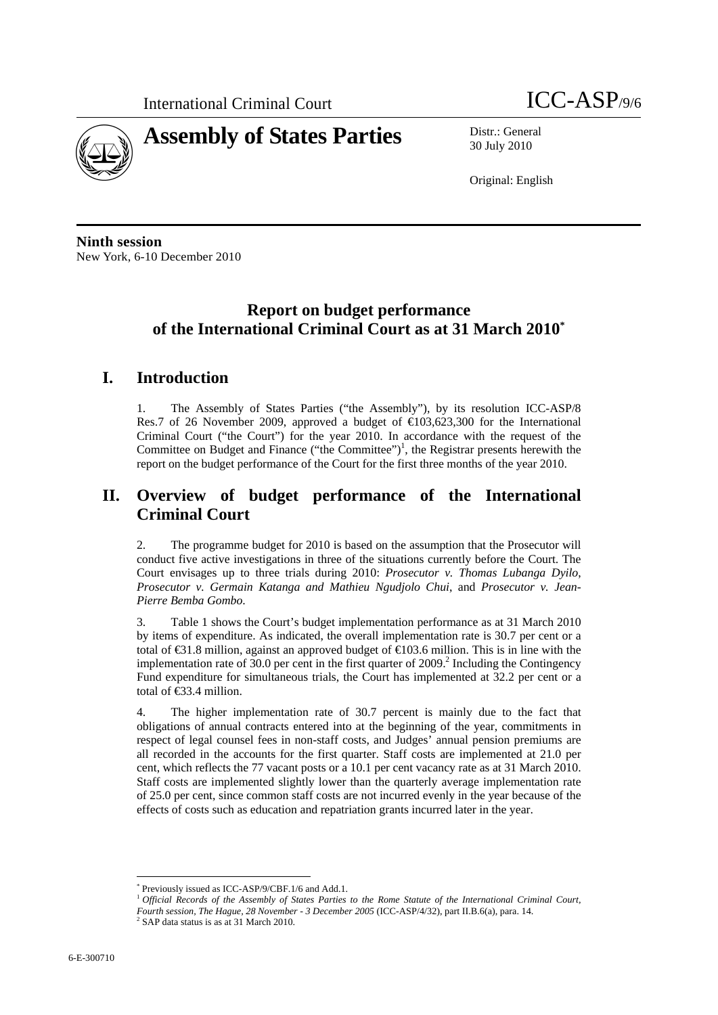

30 July 2010

Original: English

**Ninth session**  New York, 6-10 December 2010

# **Report on budget performance of the International Criminal Court as at 31 March 2010\***

## **I. Introduction**

1. The Assembly of States Parties ("the Assembly"), by its resolution ICC-ASP/8 Res.7 of 26 November 2009, approved a budget of  $\bigoplus$  03,623,300 for the International Criminal Court ("the Court") for the year 2010. In accordance with the request of the Committee on Budget and Finance ("the Committee")<sup>1</sup>, the Registrar presents herewith the report on the budget performance of the Court for the first three months of the year 2010.

# **II. Overview of budget performance of the International Criminal Court**

2. The programme budget for 2010 is based on the assumption that the Prosecutor will conduct five active investigations in three of the situations currently before the Court. The Court envisages up to three trials during 2010: *Prosecutor v. Thomas Lubanga Dyilo*, *Prosecutor v. Germain Katanga and Mathieu Ngudjolo Chui*, and *Prosecutor v. Jean-Pierre Bemba Gombo*.

Table 1 shows the Court's budget implementation performance as at 31 March 2010 by items of expenditure. As indicated, the overall implementation rate is 30.7 per cent or a total of  $\epsilon$ 31.8 million, against an approved budget of  $\epsilon$ 103.6 million. This is in line with the implementation rate of  $30.0$  per cent in the first quarter of  $2009$ .<sup>2</sup> Including the Contingency Fund expenditure for simultaneous trials, the Court has implemented at 32.2 per cent or a total of €33.4 million.

4. The higher implementation rate of 30.7 percent is mainly due to the fact that obligations of annual contracts entered into at the beginning of the year, commitments in respect of legal counsel fees in non-staff costs, and Judges' annual pension premiums are all recorded in the accounts for the first quarter. Staff costs are implemented at 21.0 per cent, which reflects the 77 vacant posts or a 10.1 per cent vacancy rate as at 31 March 2010. Staff costs are implemented slightly lower than the quarterly average implementation rate of 25.0 per cent, since common staff costs are not incurred evenly in the year because of the effects of costs such as education and repatriation grants incurred later in the year.

 $\overline{a}$ \* Previously issued as ICC-ASP/9/CBF.1/6 and Add.1.

<sup>1</sup> *Official Records of the Assembly of States Parties to the Rome Statute of the International Criminal Court,* 

*Fourth session, The Hague, 28 November - 3 December 2005* (ICC-ASP/4/32), part II.B.6(a), para. 14. 2

 $2$  SAP data status is as at 31 March 2010.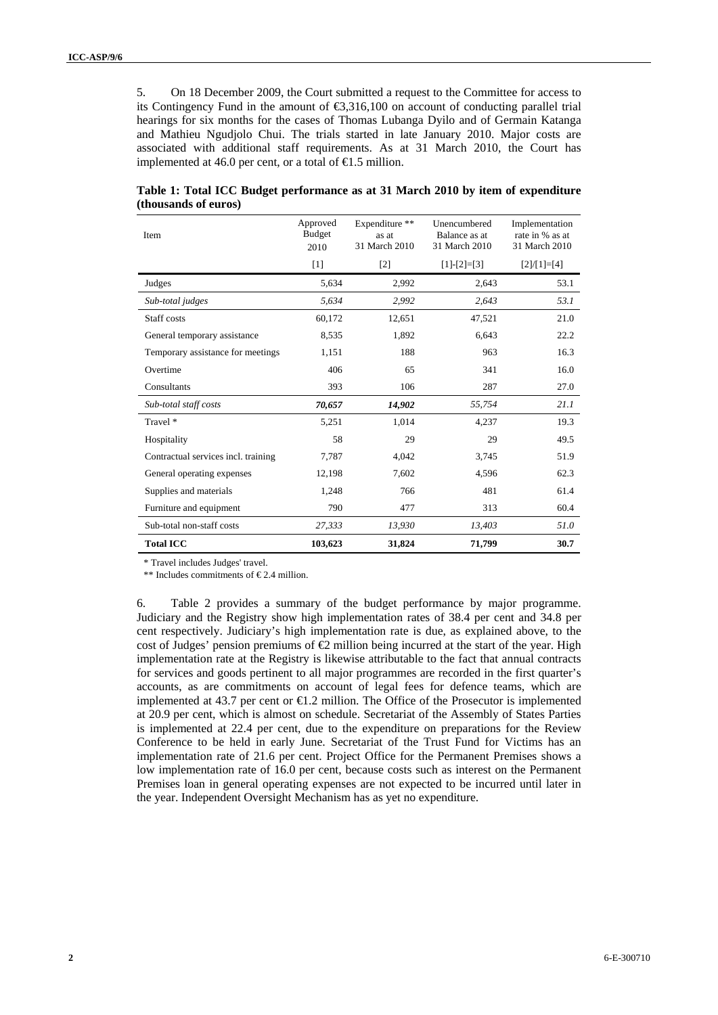5. On 18 December 2009, the Court submitted a request to the Committee for access to its Contingency Fund in the amount of €3,316,100 on account of conducting parallel trial hearings for six months for the cases of Thomas Lubanga Dyilo and of Germain Katanga and Mathieu Ngudjolo Chui. The trials started in late January 2010. Major costs are associated with additional staff requirements. As at 31 March 2010, the Court has implemented at 46.0 per cent, or a total of  $\epsilon$ 1.5 million.

| Item                                | Approved<br><b>Budget</b><br>2010 | Expenditure **<br>as at<br>31 March 2010 | Unencumbered<br>Balance as at<br>31 March 2010 | Implementation<br>rate in % as at<br>31 March 2010 |
|-------------------------------------|-----------------------------------|------------------------------------------|------------------------------------------------|----------------------------------------------------|
|                                     | $[1]$                             | $[2]$                                    | $[1]-[2]=[3]$                                  | $[2]/[1]=[4]$                                      |
| Judges                              | 5,634                             | 2,992                                    | 2,643                                          | 53.1                                               |
| Sub-total judges                    | 5,634                             | 2,992                                    | 2,643                                          | 53.1                                               |
| Staff costs                         | 60,172                            | 12,651                                   | 47,521                                         | 21.0                                               |
| General temporary assistance        | 8.535                             | 1,892                                    | 6,643                                          | 22.2                                               |
| Temporary assistance for meetings   | 1,151                             | 188                                      | 963                                            | 16.3                                               |
| Overtime                            | 406                               | 65                                       | 341                                            | 16.0                                               |
| Consultants                         | 393                               | 106                                      | 287                                            | 27.0                                               |
| Sub-total staff costs               | 70,657                            | 14,902                                   | 55,754                                         | 21.1                                               |
| Travel *                            | 5,251                             | 1,014                                    | 4,237                                          | 19.3                                               |
| Hospitality                         | 58                                | 29                                       | 29                                             | 49.5                                               |
| Contractual services incl. training | 7,787                             | 4,042                                    | 3,745                                          | 51.9                                               |
| General operating expenses          | 12,198                            | 7,602                                    | 4,596                                          | 62.3                                               |
| Supplies and materials              | 1,248                             | 766                                      | 481                                            | 61.4                                               |
| Furniture and equipment             | 790                               | 477                                      | 313                                            | 60.4                                               |
| Sub-total non-staff costs           | 27,333                            | 13,930                                   | 13,403                                         | 51.0                                               |
| <b>Total ICC</b>                    | 103,623                           | 31,824                                   | 71,799                                         | 30.7                                               |

### **Table 1: Total ICC Budget performance as at 31 March 2010 by item of expenditure (thousands of euros)**

\* Travel includes Judges' travel.

\*\* Includes commitments of  $E$ 2.4 million.

6. Table 2 provides a summary of the budget performance by major programme. Judiciary and the Registry show high implementation rates of 38.4 per cent and 34.8 per cent respectively. Judiciary's high implementation rate is due, as explained above, to the cost of Judges' pension premiums of  $\bigoplus$  million being incurred at the start of the year. High implementation rate at the Registry is likewise attributable to the fact that annual contracts for services and goods pertinent to all major programmes are recorded in the first quarter's accounts, as are commitments on account of legal fees for defence teams, which are implemented at 43.7 per cent or  $\bigoplus$  2 million. The Office of the Prosecutor is implemented at 20.9 per cent, which is almost on schedule. Secretariat of the Assembly of States Parties is implemented at 22.4 per cent, due to the expenditure on preparations for the Review Conference to be held in early June. Secretariat of the Trust Fund for Victims has an implementation rate of 21.6 per cent. Project Office for the Permanent Premises shows a low implementation rate of 16.0 per cent, because costs such as interest on the Permanent Premises loan in general operating expenses are not expected to be incurred until later in the year. Independent Oversight Mechanism has as yet no expenditure.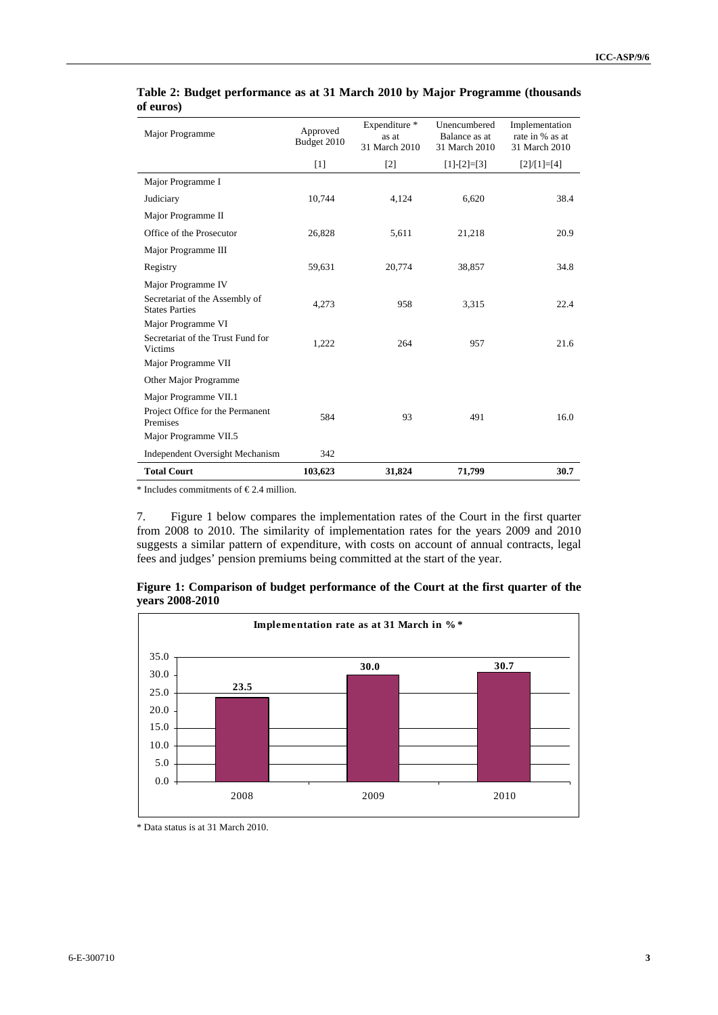| Major Programme                                         | Approved<br>Budget 2010 | Expenditure *<br>as at<br>31 March 2010 | Unencumbered<br>Balance as at<br>31 March 2010 | Implementation<br>rate in % as at<br>31 March 2010 |
|---------------------------------------------------------|-------------------------|-----------------------------------------|------------------------------------------------|----------------------------------------------------|
|                                                         | $[1]$                   | $[2]$                                   | $[1]-[2]=[3]$                                  | $[2]/[1]=[4]$                                      |
| Major Programme I                                       |                         |                                         |                                                |                                                    |
| Judiciary                                               | 10,744                  | 4,124                                   | 6,620                                          | 38.4                                               |
| Major Programme II                                      |                         |                                         |                                                |                                                    |
| Office of the Prosecutor                                | 26,828                  | 5,611                                   | 21,218                                         | 20.9                                               |
| Major Programme III                                     |                         |                                         |                                                |                                                    |
| Registry                                                | 59,631                  | 20,774                                  | 38,857                                         | 34.8                                               |
| Major Programme IV                                      |                         |                                         |                                                |                                                    |
| Secretariat of the Assembly of<br><b>States Parties</b> | 4,273                   | 958                                     | 3,315                                          | 22.4                                               |
| Major Programme VI                                      |                         |                                         |                                                |                                                    |
| Secretariat of the Trust Fund for<br>Victims            | 1,222                   | 264                                     | 957                                            | 21.6                                               |
| Major Programme VII                                     |                         |                                         |                                                |                                                    |
| Other Major Programme                                   |                         |                                         |                                                |                                                    |
| Major Programme VII.1                                   |                         |                                         |                                                |                                                    |
| Project Office for the Permanent<br>Premises            | 584                     | 93                                      | 491                                            | 16.0                                               |
| Major Programme VII.5                                   |                         |                                         |                                                |                                                    |
| Independent Oversight Mechanism                         | 342                     |                                         |                                                |                                                    |
| <b>Total Court</b>                                      | 103,623                 | 31,824                                  | 71,799                                         | 30.7                                               |

#### **Table 2: Budget performance as at 31 March 2010 by Major Programme (thousands of euros)**

\* Includes commitments of  $E$ 2.4 million.

7. Figure 1 below compares the implementation rates of the Court in the first quarter from 2008 to 2010. The similarity of implementation rates for the years 2009 and 2010 suggests a similar pattern of expenditure, with costs on account of annual contracts, legal fees and judges' pension premiums being committed at the start of the year.



**Figure 1: Comparison of budget performance of the Court at the first quarter of the years 2008-2010** 

<sup>\*</sup> Data status is at 31 March 2010.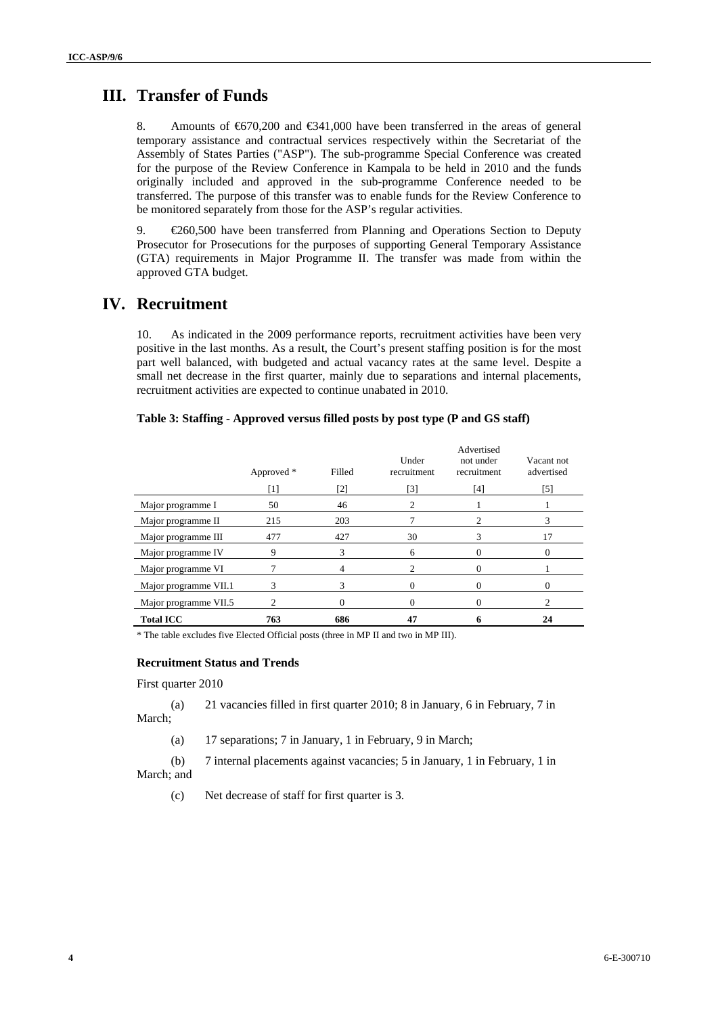## **III. Transfer of Funds**

8. Amounts of €670,200 and €341,000 have been transferred in the areas of general temporary assistance and contractual services respectively within the Secretariat of the Assembly of States Parties ("ASP"). The sub-programme Special Conference was created for the purpose of the Review Conference in Kampala to be held in 2010 and the funds originally included and approved in the sub-programme Conference needed to be transferred. The purpose of this transfer was to enable funds for the Review Conference to be monitored separately from those for the ASP's regular activities.

9. €260,500 have been transferred from Planning and Operations Section to Deputy Prosecutor for Prosecutions for the purposes of supporting General Temporary Assistance (GTA) requirements in Major Programme II. The transfer was made from within the approved GTA budget.

### **IV. Recruitment**

10. As indicated in the 2009 performance reports, recruitment activities have been very positive in the last months. As a result, the Court's present staffing position is for the most part well balanced, with budgeted and actual vacancy rates at the same level. Despite a small net decrease in the first quarter, mainly due to separations and internal placements, recruitment activities are expected to continue unabated in 2010.

#### **Table 3: Staffing - Approved versus filled posts by post type (P and GS staff)**

|                       | Approved * | Filled   | Under<br>recruitment | Advertised<br>not under<br>recruitment | Vacant not<br>advertised |
|-----------------------|------------|----------|----------------------|----------------------------------------|--------------------------|
|                       | [1]        | [2]      | [3]                  | [4]                                    | [5]                      |
| Major programme I     | 50         | 46       | 2                    |                                        |                          |
| Major programme II    | 215        | 203      |                      |                                        | 3                        |
| Major programme III   | 477        | 427      | 30                   | 3                                      | 17                       |
| Major programme IV    | 9          | 3        | 6                    | 0                                      |                          |
| Major programme VI    |            | 4        | 2                    | 0                                      |                          |
| Major programme VII.1 | 3          | 3        | 0                    | 0                                      | $\Omega$                 |
| Major programme VII.5 | 2          | $\Omega$ | 0                    | 0                                      |                          |
| <b>Total ICC</b>      | 763        | 686      | 47                   |                                        | 24                       |

\* The table excludes five Elected Official posts (three in MP II and two in MP III).

#### **Recruitment Status and Trends**

First quarter 2010

(a) 21 vacancies filled in first quarter 2010; 8 in January, 6 in February, 7 in March;

(a) 17 separations; 7 in January, 1 in February, 9 in March;

(b) 7 internal placements against vacancies; 5 in January, 1 in February, 1 in March; and

(c) Net decrease of staff for first quarter is 3.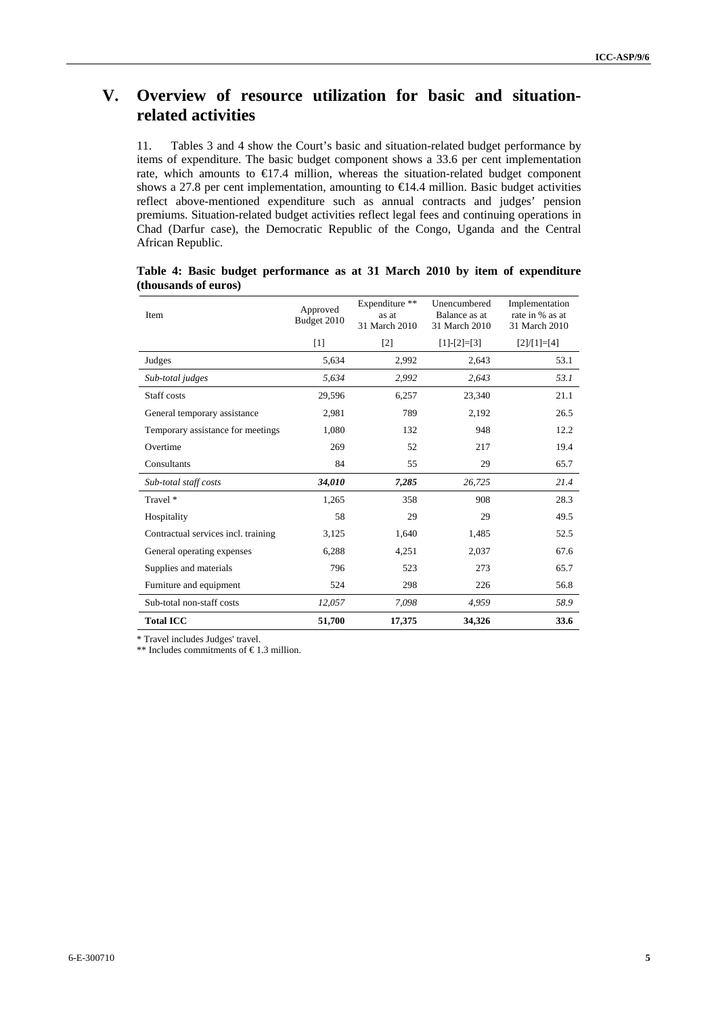# **V. Overview of resource utilization for basic and situationrelated activities**

11. Tables 3 and 4 show the Court's basic and situation-related budget performance by items of expenditure. The basic budget component shows a 33.6 per cent implementation rate, which amounts to €17.4 million, whereas the situation-related budget component shows a 27.8 per cent implementation, amounting to €14.4 million. Basic budget activities reflect above-mentioned expenditure such as annual contracts and judges' pension premiums. Situation-related budget activities reflect legal fees and continuing operations in Chad (Darfur case), the Democratic Republic of the Congo, Uganda and the Central African Republic.

| Item                                | Approved<br>Budget 2010 | Expenditure **<br>as at<br>31 March 2010 | Unencumbered<br>Balance as at<br>31 March 2010 | Implementation<br>rate in % as at<br>31 March 2010 |
|-------------------------------------|-------------------------|------------------------------------------|------------------------------------------------|----------------------------------------------------|
|                                     | $[1]$                   | $[2]$                                    | $[1]-[2]=[3]$                                  | $[2]/[1]=[4]$                                      |
| Judges                              | 5,634                   | 2,992                                    | 2,643                                          | 53.1                                               |
| Sub-total judges                    | 5,634                   | 2,992                                    | 2,643                                          | 53.1                                               |
| Staff costs                         | 29,596                  | 6,257                                    | 23,340                                         | 21.1                                               |
| General temporary assistance        | 2,981                   | 789                                      | 2,192                                          | 26.5                                               |
| Temporary assistance for meetings   | 1,080                   | 132                                      | 948                                            | 12.2                                               |
| Overtime                            | 269                     | 52                                       | 217                                            | 19.4                                               |
| Consultants                         | 84                      | 55                                       | 29                                             | 65.7                                               |
| Sub-total staff costs               | 34,010                  | 7,285                                    | 26,725                                         | 21.4                                               |
| Travel *                            | 1,265                   | 358                                      | 908                                            | 28.3                                               |
| Hospitality                         | 58                      | 29                                       | 29                                             | 49.5                                               |
| Contractual services incl. training | 3,125                   | 1,640                                    | 1,485                                          | 52.5                                               |
| General operating expenses          | 6,288                   | 4,251                                    | 2,037                                          | 67.6                                               |
| Supplies and materials              | 796                     | 523                                      | 273                                            | 65.7                                               |
| Furniture and equipment             | 524                     | 298                                      | 226                                            | 56.8                                               |
| Sub-total non-staff costs           | 12,057                  | 7,098                                    | 4,959                                          | 58.9                                               |
| <b>Total ICC</b>                    | 51,700                  | 17,375                                   | 34,326                                         | 33.6                                               |

**Table 4: Basic budget performance as at 31 March 2010 by item of expenditure (thousands of euros)** 

\* Travel includes Judges' travel.

\*\* Includes commitments of  $\epsilon$ 1.3 million.